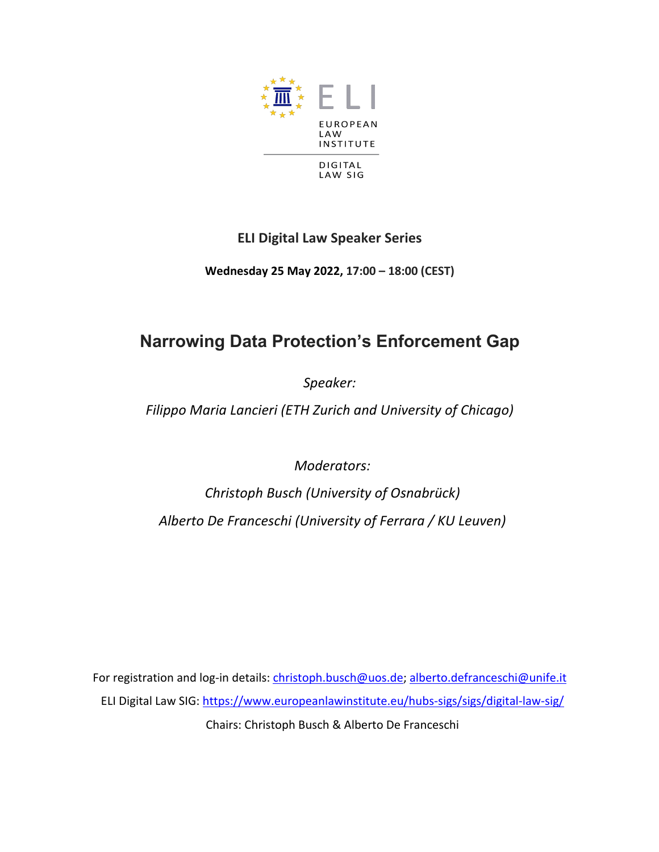

**Wednesday 25 May 2022, 17:00 – 18:00 (CEST)**

# **Narrowing Data Protection's Enforcement Gap**

*Speaker:* 

*Filippo Maria Lancieri (ETH Zurich and University of Chicago)*

*Moderators:* 

*Christoph Busch (University of Osnabrück) Alberto De Franceschi (University of Ferrara / KU Leuven)*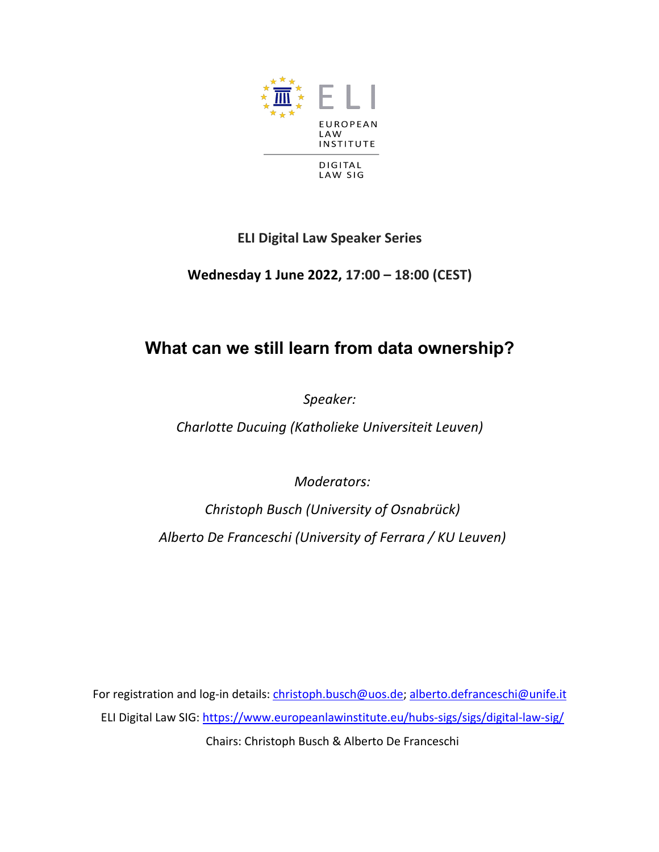

**Wednesday 1 June 2022, 17:00 – 18:00 (CEST)**

## **What can we still learn from data ownership?**

*Speaker:* 

*Charlotte Ducuing (Katholieke Universiteit Leuven)*

*Moderators:* 

*Christoph Busch (University of Osnabrück) Alberto De Franceschi (University of Ferrara / KU Leuven)*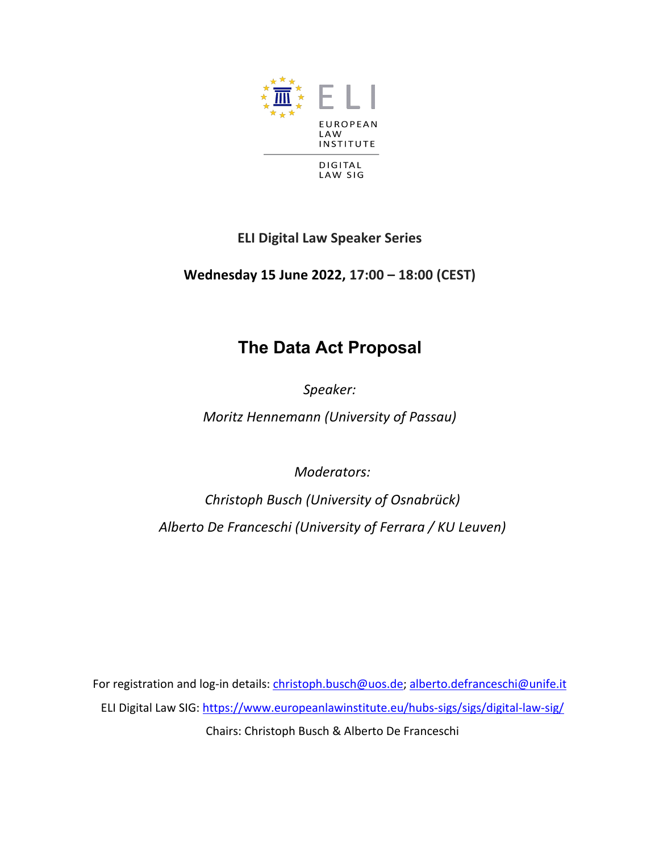

**Wednesday 15 June 2022, 17:00 – 18:00 (CEST)**

## **The Data Act Proposal**

*Speaker:* 

*Moritz Hennemann (University of Passau)*

*Moderators:* 

*Christoph Busch (University of Osnabrück) Alberto De Franceschi (University of Ferrara / KU Leuven)*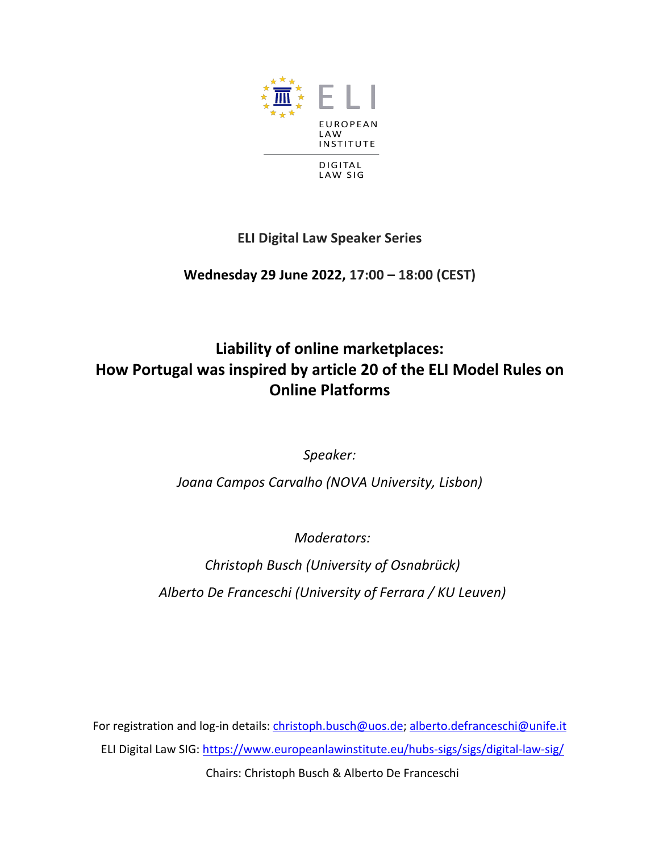

**Wednesday 29 June 2022, 17:00 – 18:00 (CEST)**

## **Liability of online marketplaces: How Portugal was inspired by article 20 of the ELI Model Rules on Online Platforms**

*Speaker:* 

*Joana Campos Carvalho (NOVA University, Lisbon)*

*Moderators:* 

*Christoph Busch (University of Osnabrück) Alberto De Franceschi (University of Ferrara / KU Leuven)*